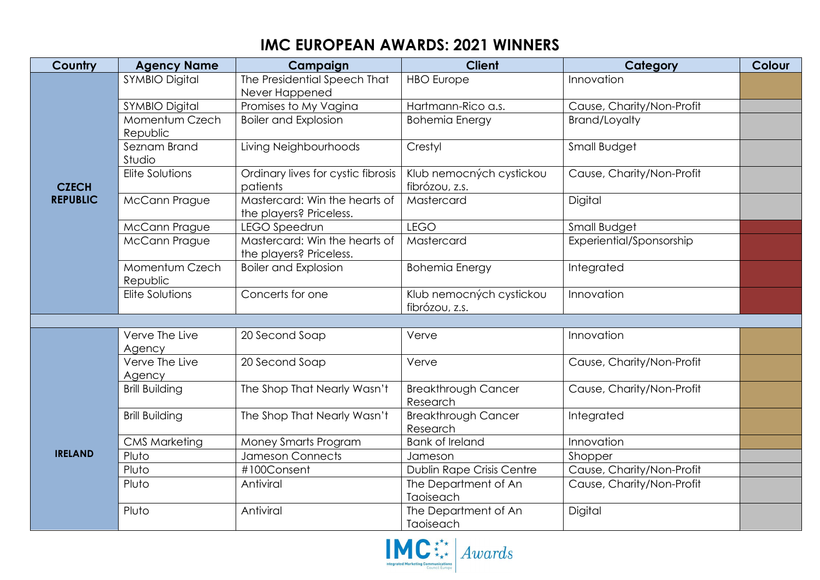## **IMC EUROPEAN AWARDS: 2021 WINNERS**

| Country                         | <b>Agency Name</b>         | Campaign                                                 | <b>Client</b>                              | Category                  | <b>Colour</b> |
|---------------------------------|----------------------------|----------------------------------------------------------|--------------------------------------------|---------------------------|---------------|
| <b>CZECH</b><br><b>REPUBLIC</b> | <b>SYMBIO Digital</b>      | The Presidential Speech That<br>Never Happened           | <b>HBO</b> Europe                          | Innovation                |               |
|                                 | <b>SYMBIO Digital</b>      | Promises to My Vagina                                    | Hartmann-Rico a.s.                         | Cause, Charity/Non-Profit |               |
|                                 | Momentum Czech<br>Republic | <b>Boiler and Explosion</b>                              | <b>Bohemia Energy</b>                      | <b>Brand/Loyalty</b>      |               |
|                                 | Seznam Brand<br>Studio     | Living Neighbourhoods                                    | Crestyl                                    | Small Budget              |               |
|                                 | Elite Solutions            | Ordinary lives for cystic fibrosis<br>patients           | Klub nemocných cystickou<br>fibrózou, z.s. | Cause, Charity/Non-Profit |               |
|                                 | <b>McCann Prague</b>       | Mastercard: Win the hearts of<br>the players? Priceless. | Mastercard                                 | Digital                   |               |
|                                 | McCann Prague              | LEGO Speedrun                                            | <b>LEGO</b>                                | Small Budget              |               |
|                                 | <b>McCann Prague</b>       | Mastercard: Win the hearts of<br>the players? Priceless. | Mastercard                                 | Experiential/Sponsorship  |               |
|                                 | Momentum Czech<br>Republic | <b>Boiler and Explosion</b>                              | <b>Bohemia Energy</b>                      | Integrated                |               |
|                                 | Elite Solutions            | Concerts for one                                         | Klub nemocných cystickou<br>fibrózou, z.s. | Innovation                |               |
|                                 |                            |                                                          |                                            |                           |               |
|                                 | Verve The Live<br>Agency   | 20 Second Soap                                           | Verve                                      | Innovation                |               |
|                                 | Verve The Live<br>Agency   | 20 Second Soap                                           | Verve                                      | Cause, Charity/Non-Profit |               |
|                                 | <b>Brill Building</b>      | The Shop That Nearly Wasn't                              | <b>Breakthrough Cancer</b><br>Research     | Cause, Charity/Non-Profit |               |
| <b>IRELAND</b>                  | <b>Brill Building</b>      | The Shop That Nearly Wasn't                              | <b>Breakthrough Cancer</b><br>Research     | Integrated                |               |
|                                 | <b>CMS Marketing</b>       | Money Smarts Program                                     | <b>Bank of Ireland</b>                     | Innovation                |               |
|                                 | Pluto                      | Jameson Connects                                         | Jameson                                    | Shopper                   |               |
|                                 | Pluto                      | #100Consent                                              | Dublin Rape Crisis Centre                  | Cause, Charity/Non-Profit |               |
|                                 | Pluto                      | Antiviral                                                | The Department of An<br>Taoiseach          | Cause, Charity/Non-Profit |               |
|                                 | Pluto                      | Antiviral                                                | The Department of An<br>Taoiseach          | Digital                   |               |

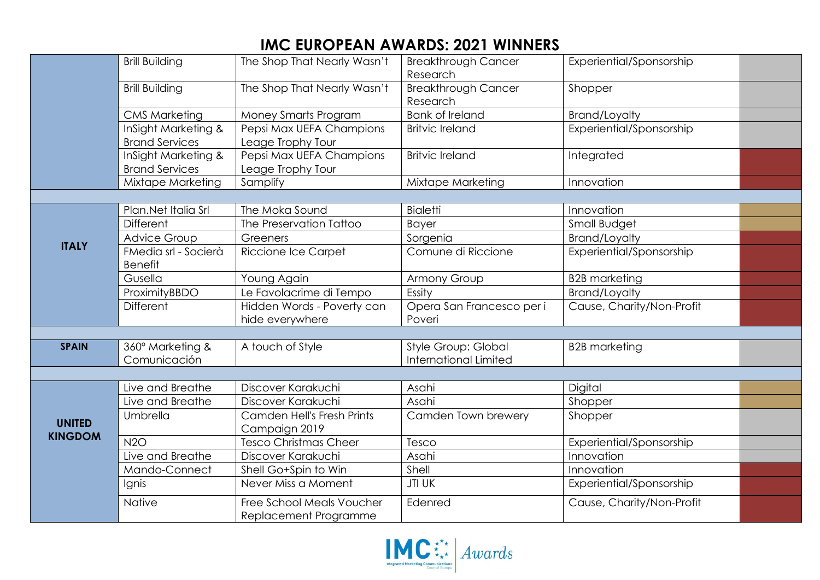## **IMC EUROPEAN AWARDS: 2021 WINNERS**

|                | <b>Brill Building</b>                  | The Shop That Nearly Wasn't                        | <b>Breakthrough Cancer</b><br>Research | Experiential/Sponsorship  |  |
|----------------|----------------------------------------|----------------------------------------------------|----------------------------------------|---------------------------|--|
|                | <b>Brill Building</b>                  | The Shop That Nearly Wasn't                        | <b>Breakthrough Cancer</b><br>Research | Shopper                   |  |
|                | <b>CMS Marketing</b>                   | Money Smarts Program                               | <b>Bank of Ireland</b>                 | <b>Brand/Loyalty</b>      |  |
|                | InSight Marketing &                    | Pepsi Max UEFA Champions                           | <b>Britvic Ireland</b>                 | Experiential/Sponsorship  |  |
|                | <b>Brand Services</b>                  | Leage Trophy Tour                                  |                                        |                           |  |
|                | InSight Marketing &                    | Pepsi Max UEFA Champions                           | <b>Britvic Ireland</b>                 | Integrated                |  |
|                | <b>Brand Services</b>                  | Leage Trophy Tour                                  |                                        |                           |  |
|                | Mixtape Marketing                      | Samplify                                           | Mixtape Marketing                      | Innovation                |  |
|                |                                        |                                                    |                                        |                           |  |
|                | Plan.Net Italia Srl                    | The Moka Sound                                     | <b>Bialetti</b>                        | Innovation                |  |
|                | <b>Different</b>                       | The Preservation Tattoo                            | <b>Bayer</b>                           | Small Budget              |  |
| <b>ITALY</b>   | <b>Advice Group</b>                    | Greeners                                           | Sorgenia                               | <b>Brand/Loyalty</b>      |  |
|                | FMedia srl - Socierà<br><b>Benefit</b> | Riccione Ice Carpet                                | Comune di Riccione                     | Experiential/Sponsorship  |  |
|                | Gusella                                | Young Again                                        | Armony Group                           | <b>B2B</b> marketing      |  |
|                | ProximityBBDO                          | Le Favolacrime di Tempo                            | Essity                                 | <b>Brand/Loyalty</b>      |  |
|                | <b>Different</b>                       | Hidden Words - Poverty can                         | Opera San Francesco per i              | Cause, Charity/Non-Profit |  |
|                |                                        | hide everywhere                                    | Poveri                                 |                           |  |
|                |                                        |                                                    |                                        |                           |  |
| <b>SPAIN</b>   | 360° Marketing &                       | A touch of Style                                   | Style Group: Global                    | <b>B2B</b> marketing      |  |
|                | Comunicación                           |                                                    | <b>International Limited</b>           |                           |  |
|                |                                        |                                                    |                                        |                           |  |
|                | Live and Breathe                       | Discover Karakuchi                                 | Asahi                                  | Digital                   |  |
|                | Live and Breathe                       | Discover Karakuchi                                 | Asahi                                  | Shopper                   |  |
| <b>UNITED</b>  | Umbrella                               | Camden Hell's Fresh Prints                         | Camden Town brewery                    | Shopper                   |  |
| <b>KINGDOM</b> |                                        | Campaign 2019                                      |                                        |                           |  |
|                | N2O                                    | <b>Tesco Christmas Cheer</b>                       | Tesco                                  | Experiential/Sponsorship  |  |
|                | Live and Breathe                       | Discover Karakuchi                                 | Asahi                                  | Innovation                |  |
|                | Mando-Connect                          | Shell Go+Spin to Win                               | Shell                                  | Innovation                |  |
|                | Ignis                                  | Never Miss a Moment                                | <b>JTI UK</b>                          | Experiential/Sponsorship  |  |
|                | Native                                 | Free School Meals Voucher<br>Replacement Programme | Edenred                                | Cause, Charity/Non-Profit |  |